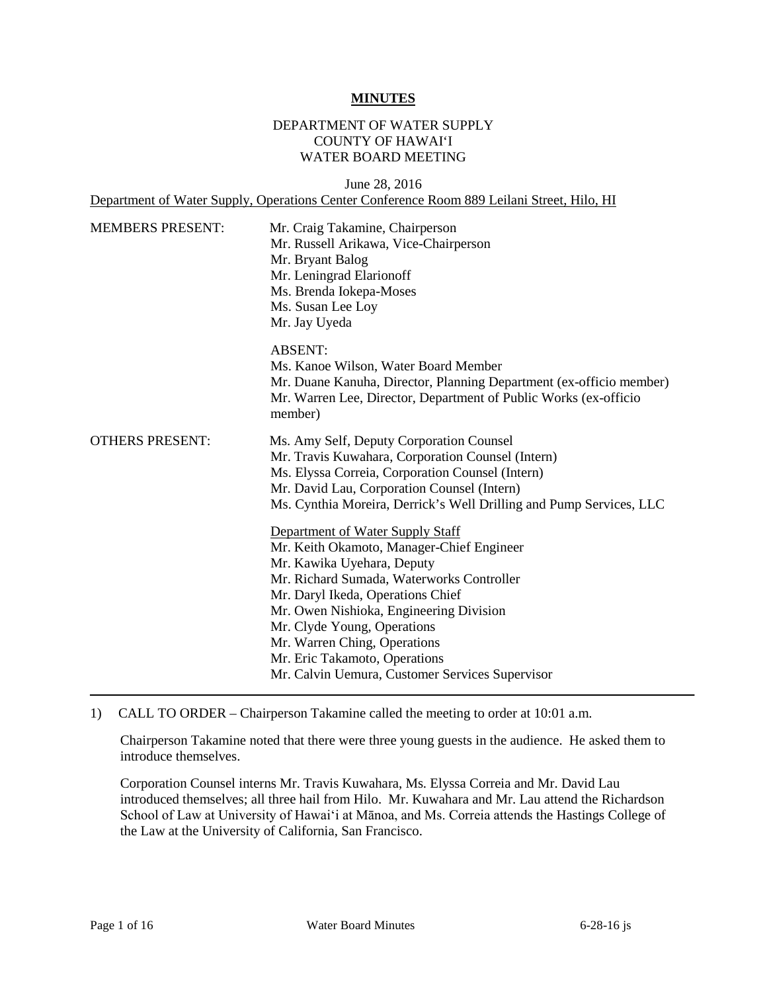#### **MINUTES**

### DEPARTMENT OF WATER SUPPLY COUNTY OF HAWAI'I WATER BOARD MEETING

June 28, 2016 Department of Water Supply, Operations Center Conference Room 889 Leilani Street, Hilo, HI

| Mr. Craig Takamine, Chairperson<br>Mr. Russell Arikawa, Vice-Chairperson<br>Mr. Bryant Balog<br>Mr. Leningrad Elarionoff<br>Ms. Brenda Iokepa-Moses<br>Ms. Susan Lee Loy<br>Mr. Jay Uyeda                                                                                                                                                                                                                                                                                                                                                                                                                                                                              |
|------------------------------------------------------------------------------------------------------------------------------------------------------------------------------------------------------------------------------------------------------------------------------------------------------------------------------------------------------------------------------------------------------------------------------------------------------------------------------------------------------------------------------------------------------------------------------------------------------------------------------------------------------------------------|
| <b>ABSENT:</b><br>Ms. Kanoe Wilson, Water Board Member<br>Mr. Duane Kanuha, Director, Planning Department (ex-officio member)<br>Mr. Warren Lee, Director, Department of Public Works (ex-officio<br>member)                                                                                                                                                                                                                                                                                                                                                                                                                                                           |
| Ms. Amy Self, Deputy Corporation Counsel<br>Mr. Travis Kuwahara, Corporation Counsel (Intern)<br>Ms. Elyssa Correia, Corporation Counsel (Intern)<br>Mr. David Lau, Corporation Counsel (Intern)<br>Ms. Cynthia Moreira, Derrick's Well Drilling and Pump Services, LLC<br>Department of Water Supply Staff<br>Mr. Keith Okamoto, Manager-Chief Engineer<br>Mr. Kawika Uyehara, Deputy<br>Mr. Richard Sumada, Waterworks Controller<br>Mr. Daryl Ikeda, Operations Chief<br>Mr. Owen Nishioka, Engineering Division<br>Mr. Clyde Young, Operations<br>Mr. Warren Ching, Operations<br>Mr. Eric Takamoto, Operations<br>Mr. Calvin Uemura, Customer Services Supervisor |
|                                                                                                                                                                                                                                                                                                                                                                                                                                                                                                                                                                                                                                                                        |

1) CALL TO ORDER – Chairperson Takamine called the meeting to order at 10:01 a.m.

 Chairperson Takamine noted that there were three young guests in the audience. He asked them to introduce themselves.

 Corporation Counsel interns Mr. Travis Kuwahara, Ms. Elyssa Correia and Mr. David Lau introduced themselves; all three hail from Hilo. Mr. Kuwahara and Mr. Lau attend the Richardson School of Law at University of Hawai'i at Mānoa, and Ms. Correia attends the Hastings College of the Law at the University of California, San Francisco.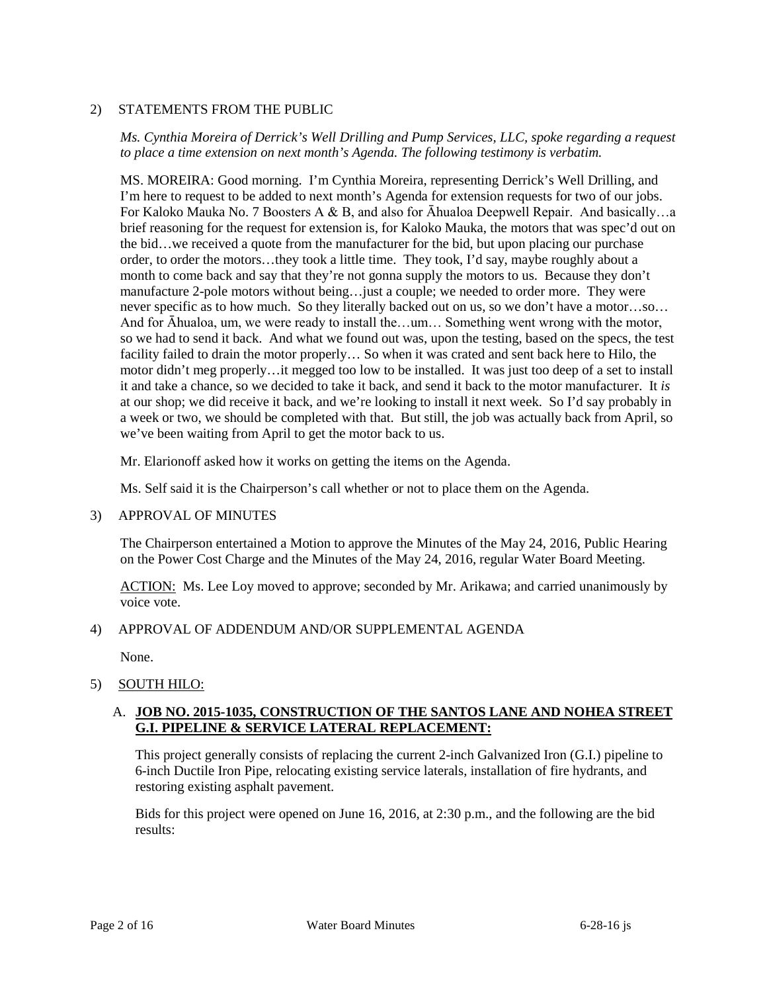### 2) STATEMENTS FROM THE PUBLIC

 *Ms. Cynthia Moreira of Derrick's Well Drilling and Pump Services, LLC, spoke regarding a request to place a time extension on next month's Agenda. The following testimony is verbatim.* 

 I'm here to request to be added to next month's Agenda for extension requests for two of our jobs. brief reasoning for the request for extension is, for Kaloko Mauka, the motors that was spec'd out on order, to order the motors…they took a little time. They took, I'd say, maybe roughly about a month to come back and say that they're not gonna supply the motors to us. Because they don't manufacture 2-pole motors without being…just a couple; we needed to order more. They were facility failed to drain the motor properly… So when it was crated and sent back here to Hilo, the motor didn't meg properly…it megged too low to be installed. It was just too deep of a set to install it and take a chance, so we decided to take it back, and send it back to the motor manufacturer. It *is*  at our shop; we did receive it back, and we're looking to install it next week. So I'd say probably in MS. MOREIRA: Good morning. I'm Cynthia Moreira, representing Derrick's Well Drilling, and For Kaloko Mauka No. 7 Boosters A & B, and also for Āhualoa Deepwell Repair. And basically…a the bid…we received a quote from the manufacturer for the bid, but upon placing our purchase never specific as to how much. So they literally backed out on us, so we don't have a motor…so… And for Āhualoa, um, we were ready to install the…um… Something went wrong with the motor, so we had to send it back. And what we found out was, upon the testing, based on the specs, the test a week or two, we should be completed with that. But still, the job was actually back from April, so we've been waiting from April to get the motor back to us.

Mr. Elarionoff asked how it works on getting the items on the Agenda.

Ms. Self said it is the Chairperson's call whether or not to place them on the Agenda.

### 3) APPROVAL OF MINUTES

 The Chairperson entertained a Motion to approve the Minutes of the May 24, 2016, Public Hearing on the Power Cost Charge and the Minutes of the May 24, 2016, regular Water Board Meeting.

ACTION: Ms. Lee Loy moved to approve; seconded by Mr. Arikawa; and carried unanimously by voice vote.

### 4) APPROVAL OF ADDENDUM AND/OR SUPPLEMENTAL AGENDA

None.

### 5) SOUTH HILO:

### A. **JOB NO. 2015-1035, CONSTRUCTION OF THE SANTOS LANE AND NOHEA STREET G.I. PIPELINE & SERVICE LATERAL REPLACEMENT:**

 restoring existing asphalt pavement. This project generally consists of replacing the current 2-inch Galvanized Iron (G.I.) pipeline to 6-inch Ductile Iron Pipe, relocating existing service laterals, installation of fire hydrants, and

Bids for this project were opened on June 16, 2016, at 2:30 p.m., and the following are the bid results: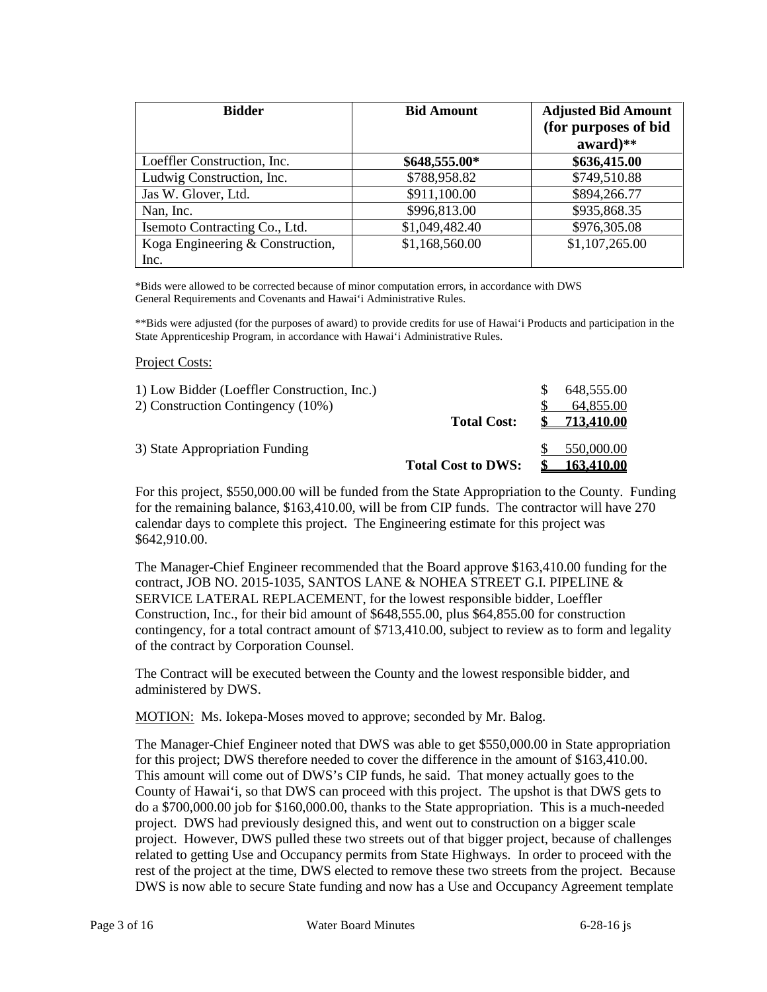| <b>Bidder</b>                            | <b>Bid Amount</b> | <b>Adjusted Bid Amount</b><br>(for purposes of bid<br>$award$ ** |
|------------------------------------------|-------------------|------------------------------------------------------------------|
| Loeffler Construction, Inc.              | \$648,555.00*     | \$636,415.00                                                     |
| Ludwig Construction, Inc.                | \$788,958.82      | \$749,510.88                                                     |
| Jas W. Glover, Ltd.                      | \$911,100.00      | \$894,266.77                                                     |
| Nan, Inc.                                | \$996,813.00      | \$935,868.35                                                     |
| Isemoto Contracting Co., Ltd.            | \$1,049,482.40    | \$976,305.08                                                     |
| Koga Engineering & Construction,<br>Inc. | \$1,168,560.00    | \$1,107,265.00                                                   |

\*Bids were allowed to be corrected because of minor computation errors, in accordance with DWS General Requirements and Covenants and Hawai'i Administrative Rules.

\*\*Bids were adjusted (for the purposes of award) to provide credits for use of Hawai'i Products and participation in the State Apprenticeship Program, in accordance with Hawai'i Administrative Rules.

#### Project Costs:

| 1) Low Bidder (Loeffler Construction, Inc.) |                           | 648,555.00        |
|---------------------------------------------|---------------------------|-------------------|
| 2) Construction Contingency (10%)           |                           | 64,855.00         |
|                                             | <b>Total Cost:</b>        | <b>713.410.00</b> |
| 3) State Appropriation Funding              |                           | 550,000.00        |
|                                             | <b>Total Cost to DWS:</b> | <b>163.410.00</b> |

 for the remaining balance, \$163,410.00, will be from CIP funds. The contractor will have 270 calendar days to complete this project. The Engineering estimate for this project was For this project, \$550,000.00 will be funded from the State Appropriation to the County. Funding \$642,910.00.

 SERVICE LATERAL REPLACEMENT, for the lowest responsible bidder, Loeffler The Manager-Chief Engineer recommended that the Board approve \$163,410.00 funding for the contract, JOB NO. 2015-1035, SANTOS LANE & NOHEA STREET G.I. PIPELINE & Construction, Inc., for their bid amount of \$648,555.00, plus \$64,855.00 for construction contingency, for a total contract amount of \$713,410.00, subject to review as to form and legality of the contract by Corporation Counsel.

The Contract will be executed between the County and the lowest responsible bidder, and administered by DWS.

MOTION: Ms. Iokepa-Moses moved to approve; seconded by Mr. Balog.

 for this project; DWS therefore needed to cover the difference in the amount of \$163,410.00. do a \$700,000.00 job for \$160,000.00, thanks to the State appropriation. This is a much-needed project. DWS had previously designed this, and went out to construction on a bigger scale rest of the project at the time, DWS elected to remove these two streets from the project. Because The Manager-Chief Engineer noted that DWS was able to get \$550,000.00 in State appropriation This amount will come out of DWS's CIP funds, he said. That money actually goes to the County of Hawai'i, so that DWS can proceed with this project. The upshot is that DWS gets to project. However, DWS pulled these two streets out of that bigger project, because of challenges related to getting Use and Occupancy permits from State Highways. In order to proceed with the DWS is now able to secure State funding and now has a Use and Occupancy Agreement template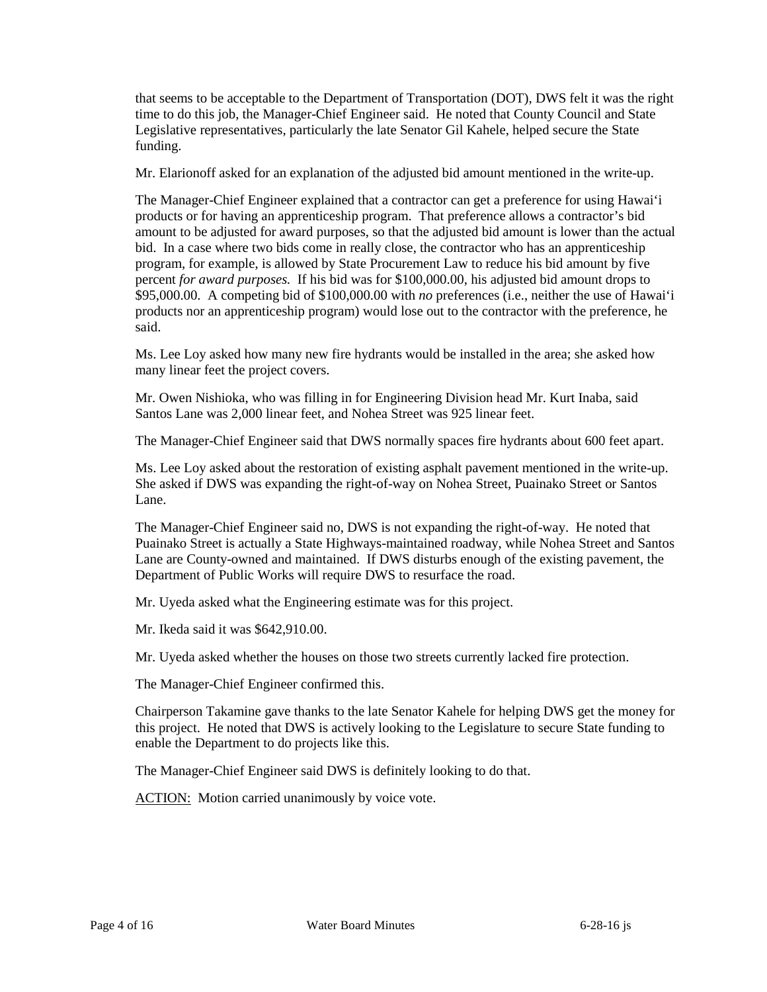that seems to be acceptable to the Department of Transportation (DOT), DWS felt it was the right time to do this job, the Manager-Chief Engineer said. He noted that County Council and State Legislative representatives, particularly the late Senator Gil Kahele, helped secure the State funding.

Mr. Elarionoff asked for an explanation of the adjusted bid amount mentioned in the write-up.

 amount to be adjusted for award purposes, so that the adjusted bid amount is lower than the actual  percent *for award purposes.* If his bid was for \$100,000.00, his adjusted bid amount drops to products nor an apprenticeship program) would lose out to the contractor with the preference, he The Manager-Chief Engineer explained that a contractor can get a preference for using Hawai'i products or for having an apprenticeship program. That preference allows a contractor's bid bid. In a case where two bids come in really close, the contractor who has an apprenticeship program, for example, is allowed by State Procurement Law to reduce his bid amount by five \$95,000.00. A competing bid of \$100,000.00 with *no* preferences (i.e., neither the use of Hawai'i said.

Ms. Lee Loy asked how many new fire hydrants would be installed in the area; she asked how many linear feet the project covers.

 Santos Lane was 2,000 linear feet, and Nohea Street was 925 linear feet. Mr. Owen Nishioka, who was filling in for Engineering Division head Mr. Kurt Inaba, said

The Manager-Chief Engineer said that DWS normally spaces fire hydrants about 600 feet apart.

Ms. Lee Loy asked about the restoration of existing asphalt pavement mentioned in the write-up. She asked if DWS was expanding the right-of-way on Nohea Street, Puainako Street or Santos Lane.

 Puainako Street is actually a State Highways-maintained roadway, while Nohea Street and Santos Lane are County-owned and maintained. If DWS disturbs enough of the existing pavement, the The Manager-Chief Engineer said no, DWS is not expanding the right-of-way. He noted that Department of Public Works will require DWS to resurface the road.

Mr. Uyeda asked what the Engineering estimate was for this project.

Mr. Ikeda said it was \$642,910.00.

Mr. Uyeda asked whether the houses on those two streets currently lacked fire protection.

The Manager-Chief Engineer confirmed this.

 this project. He noted that DWS is actively looking to the Legislature to secure State funding to Chairperson Takamine gave thanks to the late Senator Kahele for helping DWS get the money for enable the Department to do projects like this.

The Manager-Chief Engineer said DWS is definitely looking to do that.

ACTION: Motion carried unanimously by voice vote.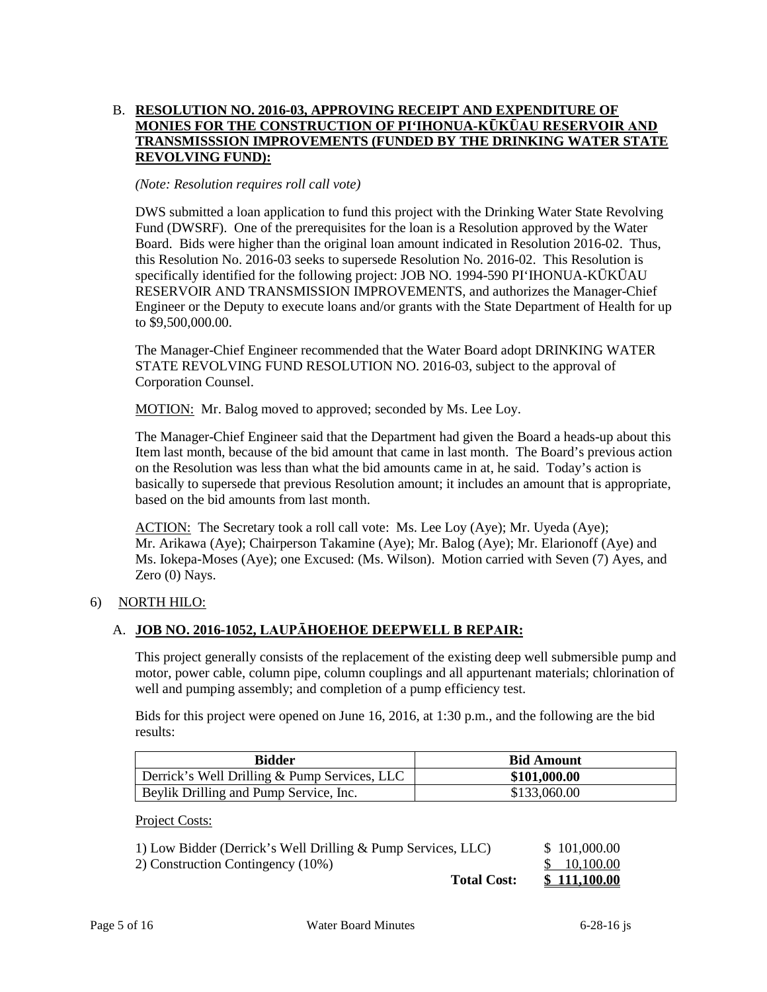## B. **RESOLUTION NO. 2016-03, APPROVING RECEIPT AND EXPENDITURE OF MONIES FOR THE CONSTRUCTION OF PI'IHONUA-KŪKŪAU RESERVOIR AND TRANSMISSSION IMPROVEMENTS (FUNDED BY THE DRINKING WATER STATE REVOLVING FUND):**

### *(Note: Resolution requires roll call vote)*

 DWS submitted a loan application to fund this project with the Drinking Water State Revolving Fund (DWSRF). One of the prerequisites for the loan is a Resolution approved by the Water Board. Bids were higher than the original loan amount indicated in Resolution 2016-02. Thus, this Resolution No. 2016-03 seeks to supersede Resolution No. 2016-02. This Resolution is specifically identified for the following project: JOB NO. 1994-590 PI'IHONUA-KŪKŪAU RESERVOIR AND TRANSMISSION IMPROVEMENTS, and authorizes the Manager-Chief Engineer or the Deputy to execute loans and/or grants with the State Department of Health for up to \$9,500,000.00.

 The Manager-Chief Engineer recommended that the Water Board adopt DRINKING WATER STATE REVOLVING FUND RESOLUTION NO. 2016-03, subject to the approval of Corporation Counsel.

MOTION: Mr. Balog moved to approved; seconded by Ms. Lee Loy.

 Item last month, because of the bid amount that came in last month. The Board's previous action basically to supersede that previous Resolution amount; it includes an amount that is appropriate, The Manager-Chief Engineer said that the Department had given the Board a heads-up about this on the Resolution was less than what the bid amounts came in at, he said. Today's action is based on the bid amounts from last month.

ACTION: The Secretary took a roll call vote: Ms. Lee Loy (Aye); Mr. Uyeda (Aye); Ms. Iokepa-Moses (Aye); one Excused: (Ms. Wilson). Motion carried with Seven (7) Ayes, and Mr. Arikawa (Aye); Chairperson Takamine (Aye); Mr. Balog (Aye); Mr. Elarionoff (Aye) and Zero (0) Nays.

## 6) NORTH HILO:

# A. **JOB NO. 2016-1052, LAUPĀHOEHOE DEEPWELL B REPAIR:**

This project generally consists of the replacement of the existing deep well submersible pump and motor, power cable, column pipe, column couplings and all appurtenant materials; chlorination of well and pumping assembly; and completion of a pump efficiency test.

Bids for this project were opened on June 16, 2016, at 1:30 p.m., and the following are the bid results:

| <b>Bidder</b>                                | <b>Bid Amount</b> |
|----------------------------------------------|-------------------|
| Derrick's Well Drilling & Pump Services, LLC | \$101,000.00      |
| Beylik Drilling and Pump Service, Inc.       | \$133,060.00      |

Project Costs:

| <b>Total Cost:</b>                                           | \$111.100.00 |
|--------------------------------------------------------------|--------------|
| 2) Construction Contingency (10%)                            | \$ 10,100.00 |
| 1) Low Bidder (Derrick's Well Drilling & Pump Services, LLC) | \$101,000.00 |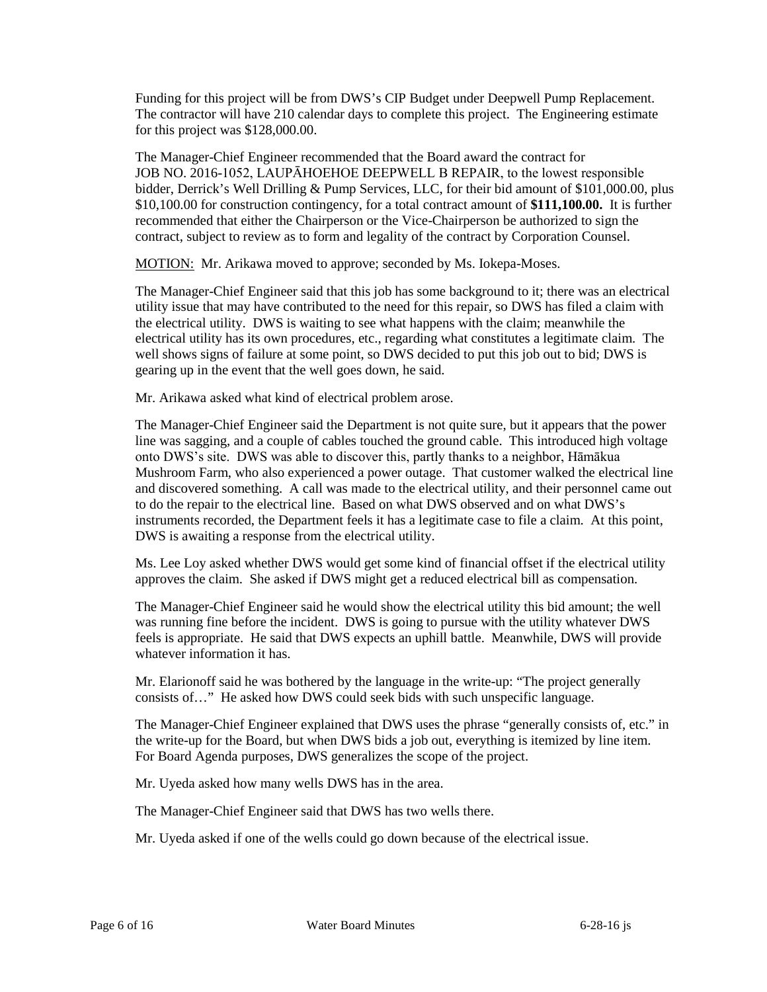The contractor will have 210 calendar days to complete this project. The Engineering estimate Funding for this project will be from DWS's CIP Budget under Deepwell Pump Replacement. for this project was \$128,000.00.

 bidder, Derrick's Well Drilling & Pump Services, LLC, for their bid amount of \$101,000.00, plus \$10,100.00 for construction contingency, for a total contract amount of **\$111,100.00.** It is further recommended that either the Chairperson or the Vice-Chairperson be authorized to sign the contract, subject to review as to form and legality of the contract by Corporation Counsel. The Manager-Chief Engineer recommended that the Board award the contract for JOB NO. 2016-1052, LAUPĀHOEHOE DEEPWELL B REPAIR, to the lowest responsible

MOTION: Mr. Arikawa moved to approve; seconded by Ms. Iokepa-Moses.

 The Manager-Chief Engineer said that this job has some background to it; there was an electrical utility issue that may have contributed to the need for this repair, so DWS has filed a claim with well shows signs of failure at some point, so DWS decided to put this job out to bid; DWS is gearing up in the event that the well goes down, he said. the electrical utility. DWS is waiting to see what happens with the claim; meanwhile the electrical utility has its own procedures, etc., regarding what constitutes a legitimate claim. The

Mr. Arikawa asked what kind of electrical problem arose.

 line was sagging, and a couple of cables touched the ground cable. This introduced high voltage Mushroom Farm, who also experienced a power outage. That customer walked the electrical line and discovered something. A call was made to the electrical utility, and their personnel came out to do the repair to the electrical line. Based on what DWS observed and on what DWS's The Manager-Chief Engineer said the Department is not quite sure, but it appears that the power onto DWS's site. DWS was able to discover this, partly thanks to a neighbor, Hāmākua instruments recorded, the Department feels it has a legitimate case to file a claim. At this point, DWS is awaiting a response from the electrical utility.

Ms. Lee Loy asked whether DWS would get some kind of financial offset if the electrical utility approves the claim. She asked if DWS might get a reduced electrical bill as compensation.

 The Manager-Chief Engineer said he would show the electrical utility this bid amount; the well was running fine before the incident. DWS is going to pursue with the utility whatever DWS feels is appropriate. He said that DWS expects an uphill battle. Meanwhile, DWS will provide whatever information it has.

 Mr. Elarionoff said he was bothered by the language in the write-up: "The project generally consists of…" He asked how DWS could seek bids with such unspecific language.

 For Board Agenda purposes, DWS generalizes the scope of the project. The Manager-Chief Engineer explained that DWS uses the phrase "generally consists of, etc." in the write-up for the Board, but when DWS bids a job out, everything is itemized by line item.

Mr. Uyeda asked how many wells DWS has in the area.

The Manager-Chief Engineer said that DWS has two wells there.

Mr. Uyeda asked if one of the wells could go down because of the electrical issue.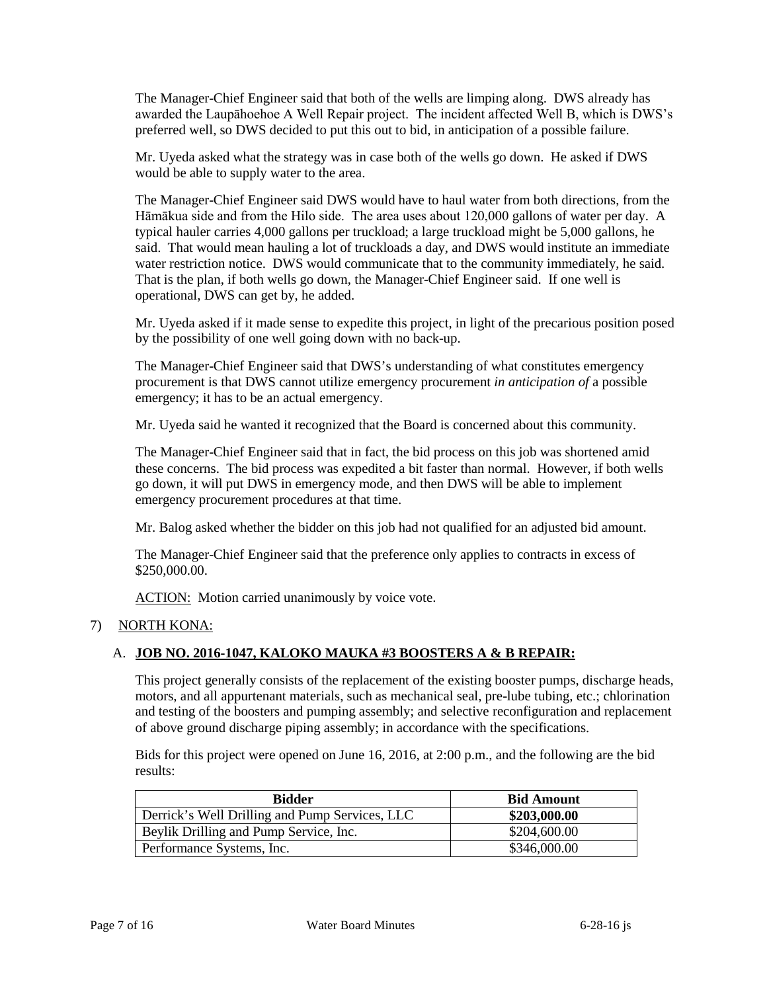preferred well, so DWS decided to put this out to bid, in anticipation of a possible failure. The Manager-Chief Engineer said that both of the wells are limping along. DWS already has awarded the Laupāhoehoe A Well Repair project. The incident affected Well B, which is DWS's

 would be able to supply water to the area. Mr. Uyeda asked what the strategy was in case both of the wells go down. He asked if DWS

 Hāmākua side and from the Hilo side. The area uses about 120,000 gallons of water per day. A typical hauler carries 4,000 gallons per truckload; a large truckload might be 5,000 gallons, he That is the plan, if both wells go down, the Manager-Chief Engineer said. If one well is The Manager-Chief Engineer said DWS would have to haul water from both directions, from the said. That would mean hauling a lot of truckloads a day, and DWS would institute an immediate water restriction notice. DWS would communicate that to the community immediately, he said. operational, DWS can get by, he added.

Mr. Uyeda asked if it made sense to expedite this project, in light of the precarious position posed by the possibility of one well going down with no back-up.

 The Manager-Chief Engineer said that DWS's understanding of what constitutes emergency procurement is that DWS cannot utilize emergency procurement *in anticipation of* a possible emergency; it has to be an actual emergency.

Mr. Uyeda said he wanted it recognized that the Board is concerned about this community.

 The Manager-Chief Engineer said that in fact, the bid process on this job was shortened amid these concerns. The bid process was expedited a bit faster than normal. However, if both wells go down, it will put DWS in emergency mode, and then DWS will be able to implement emergency procurement procedures at that time.

Mr. Balog asked whether the bidder on this job had not qualified for an adjusted bid amount.

 The Manager-Chief Engineer said that the preference only applies to contracts in excess of \$250,000.00.

ACTION: Motion carried unanimously by voice vote.

### 7) NORTH KONA:

### A. **JOB NO. 2016-1047, KALOKO MAUKA #3 BOOSTERS A & B REPAIR:**

 motors, and all appurtenant materials, such as mechanical seal, pre-lube tubing, etc.; chlorination This project generally consists of the replacement of the existing booster pumps, discharge heads, and testing of the boosters and pumping assembly; and selective reconfiguration and replacement of above ground discharge piping assembly; in accordance with the specifications.

Bids for this project were opened on June 16, 2016, at 2:00 p.m., and the following are the bid results:

| <b>Bidder</b>                                  | <b>Bid Amount</b> |
|------------------------------------------------|-------------------|
| Derrick's Well Drilling and Pump Services, LLC | \$203,000.00      |
| Beylik Drilling and Pump Service, Inc.         | \$204,600.00      |
| Performance Systems, Inc.                      | \$346,000.00      |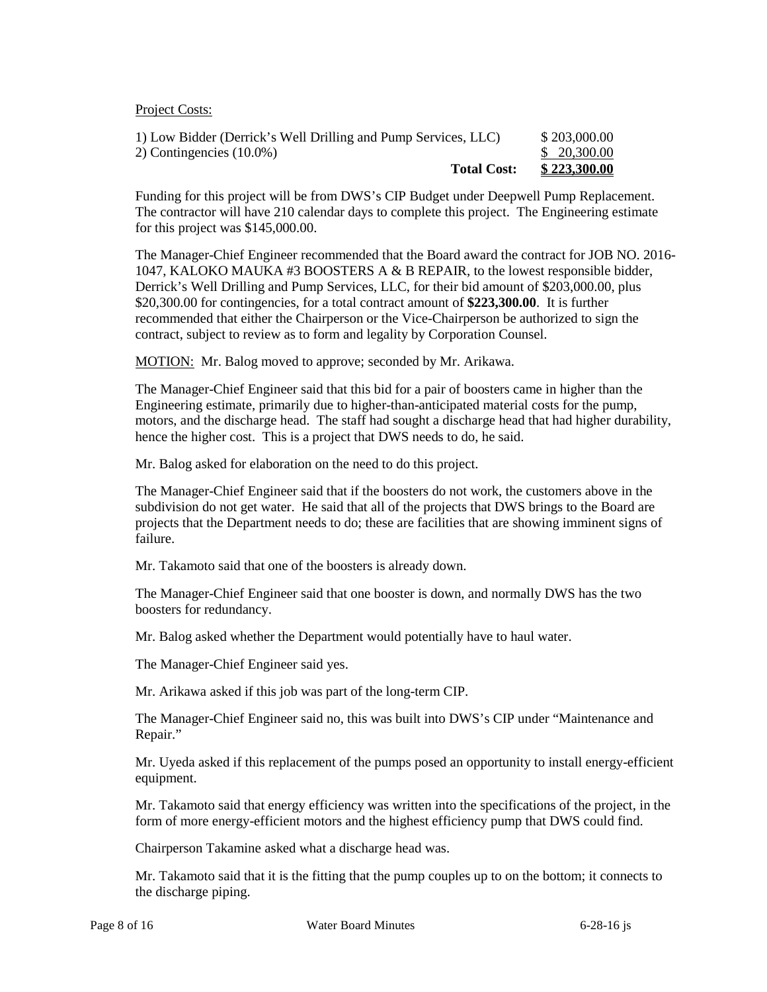Project Costs:

| 1) Low Bidder (Derrick's Well Drilling and Pump Services, LLC) | \$203,000.00 |
|----------------------------------------------------------------|--------------|
| 2) Contingencies $(10.0\%)$                                    | \$ 20,300.00 |
| <b>Total Cost:</b>                                             | \$223,300.00 |

Funding for this project will be from DWS's CIP Budget under Deepwell Pump Replacement. The contractor will have 210 calendar days to complete this project. The Engineering estimate for this project was \$145,000.00.

 \$20,300.00 for contingencies, for a total contract amount of **\$223,300.00**. It is further recommended that either the Chairperson or the Vice-Chairperson be authorized to sign the contract, subject to review as to form and legality by Corporation Counsel. The Manager-Chief Engineer recommended that the Board award the contract for JOB NO. 2016 1047, KALOKO MAUKA #3 BOOSTERS A & B REPAIR, to the lowest responsible bidder, Derrick's Well Drilling and Pump Services, LLC, for their bid amount of \$203,000.00, plus

MOTION: Mr. Balog moved to approve; seconded by Mr. Arikawa.

 hence the higher cost. This is a project that DWS needs to do, he said. The Manager-Chief Engineer said that this bid for a pair of boosters came in higher than the Engineering estimate, primarily due to higher-than-anticipated material costs for the pump, motors, and the discharge head. The staff had sought a discharge head that had higher durability,

Mr. Balog asked for elaboration on the need to do this project.

 subdivision do not get water. He said that all of the projects that DWS brings to the Board are projects that the Department needs to do; these are facilities that are showing imminent signs of The Manager-Chief Engineer said that if the boosters do not work, the customers above in the failure.

Mr. Takamoto said that one of the boosters is already down.

The Manager-Chief Engineer said that one booster is down, and normally DWS has the two boosters for redundancy.

Mr. Balog asked whether the Department would potentially have to haul water.

The Manager-Chief Engineer said yes.

Mr. Arikawa asked if this job was part of the long-term CIP.

The Manager-Chief Engineer said no, this was built into DWS's CIP under "Maintenance and Repair."

Mr. Uyeda asked if this replacement of the pumps posed an opportunity to install energy-efficient equipment.

 Mr. Takamoto said that energy efficiency was written into the specifications of the project, in the form of more energy-efficient motors and the highest efficiency pump that DWS could find.

Chairperson Takamine asked what a discharge head was.

Mr. Takamoto said that it is the fitting that the pump couples up to on the bottom; it connects to the discharge piping.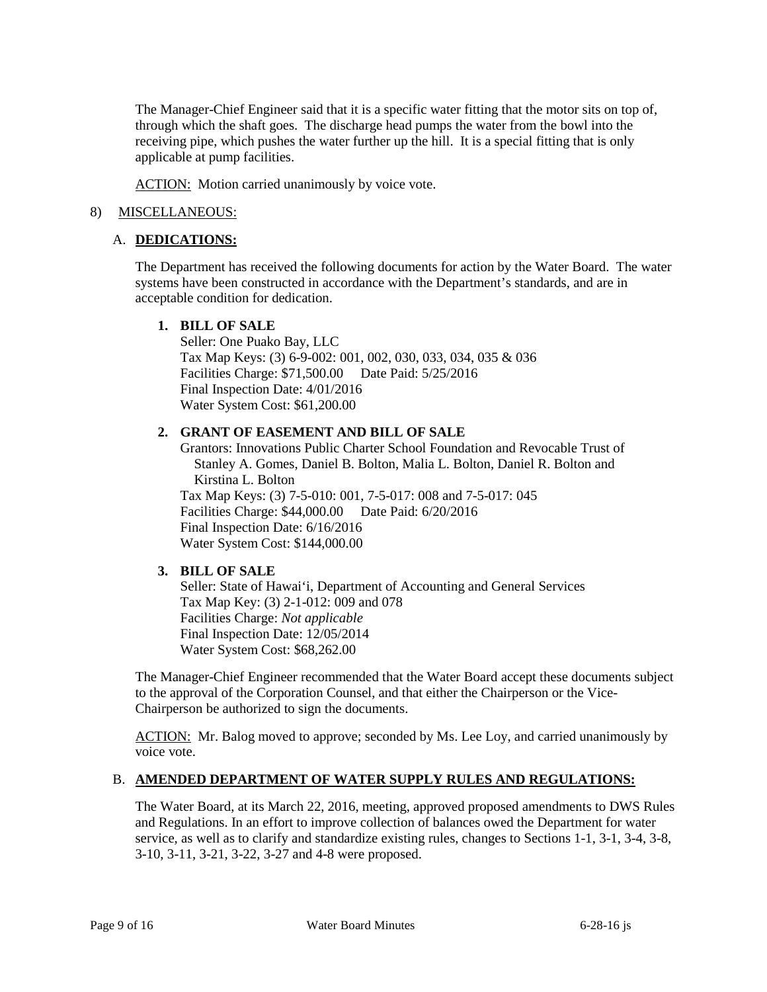The Manager-Chief Engineer said that it is a specific water fitting that the motor sits on top of, receiving pipe, which pushes the water further up the hill. It is a special fitting that is only through which the shaft goes. The discharge head pumps the water from the bowl into the applicable at pump facilities.

ACTION: Motion carried unanimously by voice vote.

## 8) MISCELLANEOUS:

### A. **DEDICATIONS:**

The Department has received the following documents for action by the Water Board. The water systems have been constructed in accordance with the Department's standards, and are in acceptable condition for dedication.

### **1. BILL OF SALE**

 Final Inspection Date: 4/01/2016 Seller: One Puako Bay, LLC Tax Map Keys: (3) 6-9-002: 001, 002, 030, 033, 034, 035 & 036 Facilities Charge: \$71,500.00 Date Paid: 5/25/2016 Water System Cost: \$61,200.00

### **2. GRANT OF EASEMENT AND BILL OF SALE**

 Grantors: Innovations Public Charter School Foundation and Revocable Trust of Final Inspection Date: 6/16/2016 Stanley A. Gomes, Daniel B. Bolton, Malia L. Bolton, Daniel R. Bolton and Kirstina L. Bolton Tax Map Keys: (3) 7-5-010: 001, 7-5-017: 008 and 7-5-017: 045 Facilities Charge: \$44,000.00 Date Paid: 6/20/2016 Water System Cost: \$144,000.00

### **3. BILL OF SALE**

 Final Inspection Date: 12/05/2014 Seller: State of Hawai'i, Department of Accounting and General Services Tax Map Key: (3) 2-1-012: 009 and 078 Facilities Charge: *Not applicable*  Water System Cost: \$68,262.00

 to the approval of the Corporation Counsel, and that either the Chairperson or the Vice-The Manager-Chief Engineer recommended that the Water Board accept these documents subject Chairperson be authorized to sign the documents.

ACTION: Mr. Balog moved to approve; seconded by Ms. Lee Loy, and carried unanimously by voice vote.

### B. **AMENDED DEPARTMENT OF WATER SUPPLY RULES AND REGULATIONS:**

 The Water Board, at its March 22, 2016, meeting, approved proposed amendments to DWS Rules and Regulations. In an effort to improve collection of balances owed the Department for water service, as well as to clarify and standardize existing rules, changes to Sections 1-1, 3-1, 3-4, 3-8, 3-10, 3-11, 3-21, 3-22, 3-27 and 4-8 were proposed.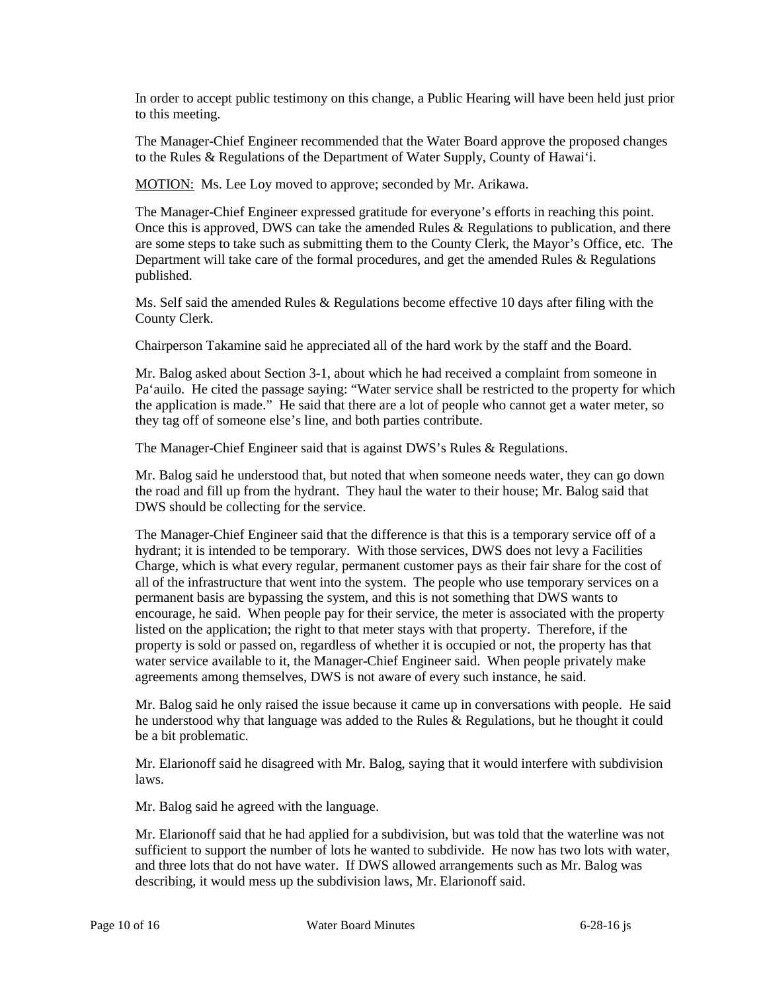In order to accept public testimony on this change, a Public Hearing will have been held just prior to this meeting.

 to the Rules & Regulations of the Department of Water Supply, County of Hawai'i. The Manager-Chief Engineer recommended that the Water Board approve the proposed changes

MOTION: Ms. Lee Loy moved to approve; seconded by Mr. Arikawa.

The Manager-Chief Engineer expressed gratitude for everyone's efforts in reaching this point. The Manager-Chief Engineer expressed gratitude for everyone's efforts in reaching this point.<br>Once this is approved, DWS can take the amended Rules & Regulations to publication, and there are some steps to take such as submitting them to the County Clerk, the Mayor's Office, etc. The Department will take care of the formal procedures, and get the amended Rules  $\&$  Regulations published.

 Ms. Self said the amended Rules & Regulations become effective 10 days after filing with the County Clerk.

Chairperson Takamine said he appreciated all of the hard work by the staff and the Board.

 Pa'auilo. He cited the passage saying: "Water service shall be restricted to the property for which they tag off of someone else's line, and both parties contribute. Mr. Balog asked about Section 3-1, about which he had received a complaint from someone in the application is made." He said that there are a lot of people who cannot get a water meter, so

The Manager-Chief Engineer said that is against DWS's Rules & Regulations.

 the road and fill up from the hydrant. They haul the water to their house; Mr. Balog said that Mr. Balog said he understood that, but noted that when someone needs water, they can go down DWS should be collecting for the service.

 Charge, which is what every regular, permanent customer pays as their fair share for the cost of all of the infrastructure that went into the system. The people who use temporary services on a listed on the application; the right to that meter stays with that property. Therefore, if the property is sold or passed on, regardless of whether it is occupied or not, the property has that agreements among themselves, DWS is not aware of every such instance, he said. The Manager-Chief Engineer said that the difference is that this is a temporary service off of a hydrant; it is intended to be temporary. With those services, DWS does not levy a Facilities permanent basis are bypassing the system, and this is not something that DWS wants to encourage, he said. When people pay for their service, the meter is associated with the property water service available to it, the Manager-Chief Engineer said. When people privately make

 he understood why that language was added to the Rules & Regulations, but he thought it could Mr. Balog said he only raised the issue because it came up in conversations with people. He said be a bit problematic.

 Mr. Elarionoff said he disagreed with Mr. Balog, saying that it would interfere with subdivision laws.

Mr. Balog said he agreed with the language.

 Mr. Elarionoff said that he had applied for a subdivision, but was told that the waterline was not and three lots that do not have water. If DWS allowed arrangements such as Mr. Balog was describing, it would mess up the subdivision laws, Mr. Elarionoff said. sufficient to support the number of lots he wanted to subdivide. He now has two lots with water,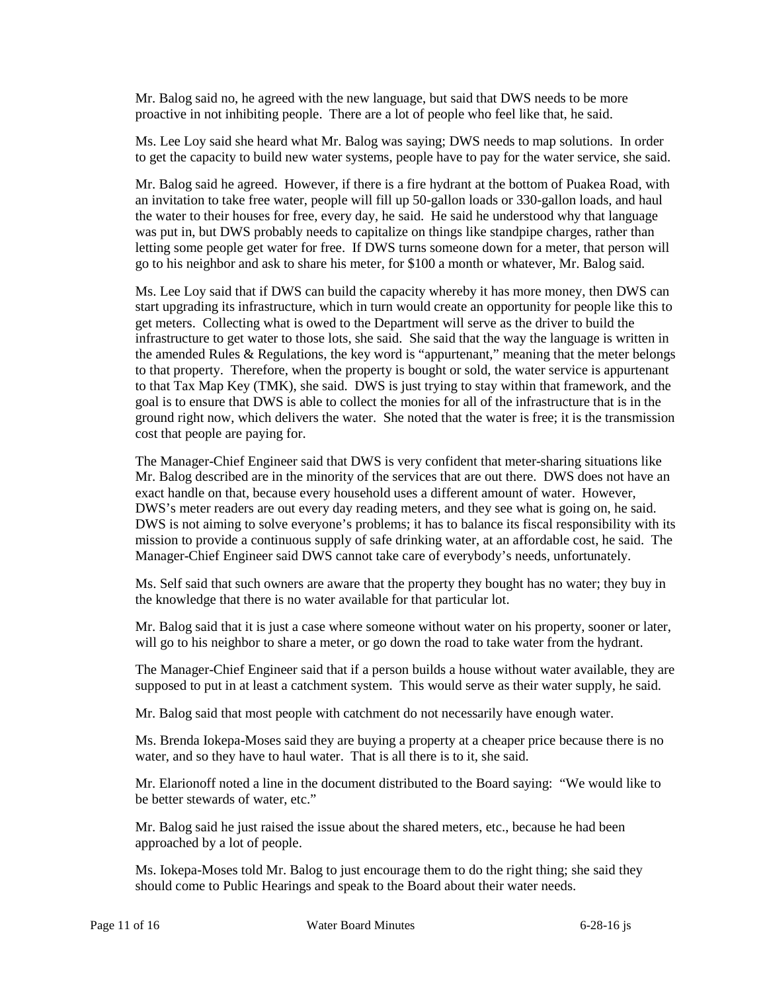Mr. Balog said no, he agreed with the new language, but said that DWS needs to be more proactive in not inhibiting people. There are a lot of people who feel like that, he said.

 to get the capacity to build new water systems, people have to pay for the water service, she said. Ms. Lee Loy said she heard what Mr. Balog was saying; DWS needs to map solutions. In order

 Mr. Balog said he agreed. However, if there is a fire hydrant at the bottom of Puakea Road, with an invitation to take free water, people will fill up 50-gallon loads or 330-gallon loads, and haul the water to their houses for free, every day, he said. He said he understood why that language was put in, but DWS probably needs to capitalize on things like standpipe charges, rather than letting some people get water for free. If DWS turns someone down for a meter, that person will go to his neighbor and ask to share his meter, for \$100 a month or whatever, Mr. Balog said.

 Ms. Lee Loy said that if DWS can build the capacity whereby it has more money, then DWS can get meters. Collecting what is owed to the Department will serve as the driver to build the to that Tax Map Key (TMK), she said. DWS is just trying to stay within that framework, and the goal is to ensure that DWS is able to collect the monies for all of the infrastructure that is in the ground right now, which delivers the water. She noted that the water is free; it is the transmission start upgrading its infrastructure, which in turn would create an opportunity for people like this to infrastructure to get water to those lots, she said. She said that the way the language is written in the amended Rules  $\&$  Regulations, the key word is "appurtenant," meaning that the meter belongs to that property. Therefore, when the property is bought or sold, the water service is appurtenant cost that people are paying for.

 The Manager-Chief Engineer said that DWS is very confident that meter-sharing situations like DWS's meter readers are out every day reading meters, and they see what is going on, he said. mission to provide a continuous supply of safe drinking water, at an affordable cost, he said. The Mr. Balog described are in the minority of the services that are out there. DWS does not have an exact handle on that, because every household uses a different amount of water. However, DWS is not aiming to solve every one's problems; it has to balance its fiscal responsibility with its Manager-Chief Engineer said DWS cannot take care of everybody's needs, unfortunately.

 Ms. Self said that such owners are aware that the property they bought has no water; they buy in the knowledge that there is no water available for that particular lot.

Mr. Balog said that it is just a case where someone without water on his property, sooner or later, will go to his neighbor to share a meter, or go down the road to take water from the hydrant.

 supposed to put in at least a catchment system. This would serve as their water supply, he said. The Manager-Chief Engineer said that if a person builds a house without water available, they are

Mr. Balog said that most people with catchment do not necessarily have enough water.

 water, and so they have to haul water. That is all there is to it, she said. Ms. Brenda Iokepa-Moses said they are buying a property at a cheaper price because there is no

 Mr. Elarionoff noted a line in the document distributed to the Board saying: "We would like to be better stewards of water, etc."

 Mr. Balog said he just raised the issue about the shared meters, etc., because he had been approached by a lot of people.

 Ms. Iokepa-Moses told Mr. Balog to just encourage them to do the right thing; she said they should come to Public Hearings and speak to the Board about their water needs.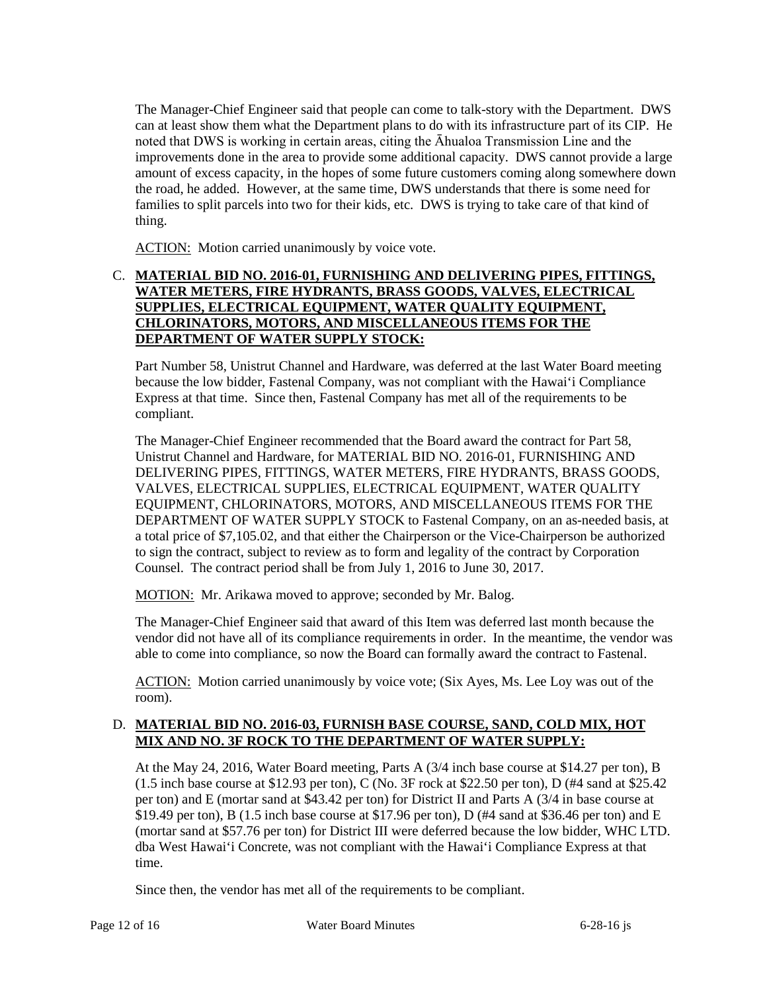can at least show them what the Department plans to do with its infrastructure part of its CIP. He noted that DWS is working in certain areas, citing the Āhualoa Transmission Line and the improvements done in the area to provide some additional capacity. DWS cannot provide a large amount of excess capacity, in the hopes of some future customers coming along somewhere down The Manager-Chief Engineer said that people can come to talk-story with the Department. DWS the road, he added. However, at the same time, DWS understands that there is some need for families to split parcels into two for their kids, etc. DWS is trying to take care of that kind of thing.

ACTION: Motion carried unanimously by voice vote.

## **CHLORINATORS, MOTORS, AND MISCELLANEOUS ITEMS FOR THE**  C. **MATERIAL BID NO. 2016-01, FURNISHING AND DELIVERING PIPES, FITTINGS, WATER METERS, FIRE HYDRANTS, BRASS GOODS, VALVES, ELECTRICAL SUPPLIES, ELECTRICAL EQUIPMENT, WATER QUALITY EQUIPMENT, DEPARTMENT OF WATER SUPPLY STOCK:**

 because the low bidder, Fastenal Company, was not compliant with the Hawai'i Compliance Express at that time. Since then, Fastenal Company has met all of the requirements to be Part Number 58, Unistrut Channel and Hardware, was deferred at the last Water Board meeting compliant.

 DEPARTMENT OF WATER SUPPLY STOCK to Fastenal Company, on an as-needed basis, at a total price of \$7,105.02, and that either the Chairperson or the Vice-Chairperson be authorized The Manager-Chief Engineer recommended that the Board award the contract for Part 58, Unistrut Channel and Hardware, for MATERIAL BID NO. 2016-01, FURNISHING AND DELIVERING PIPES, FITTINGS, WATER METERS, FIRE HYDRANTS, BRASS GOODS, VALVES, ELECTRICAL SUPPLIES, ELECTRICAL EQUIPMENT, WATER QUALITY EQUIPMENT, CHLORINATORS, MOTORS, AND MISCELLANEOUS ITEMS FOR THE to sign the contract, subject to review as to form and legality of the contract by Corporation Counsel. The contract period shall be from July 1, 2016 to June 30, 2017.

MOTION: Mr. Arikawa moved to approve; seconded by Mr. Balog.

 The Manager-Chief Engineer said that award of this Item was deferred last month because the vendor did not have all of its compliance requirements in order. In the meantime, the vendor was able to come into compliance, so now the Board can formally award the contract to Fastenal.

ACTION: Motion carried unanimously by voice vote; (Six Ayes, Ms. Lee Loy was out of the room).

## D. **MATERIAL BID NO. 2016-03, FURNISH BASE COURSE, SAND, COLD MIX, HOT MIX AND NO. 3F ROCK TO THE DEPARTMENT OF WATER SUPPLY:**

 At the May 24, 2016, Water Board meeting, Parts A (3/4 inch base course at \$14.27 per ton), B (1.5 inch base course at \$12.93 per ton), C (No. 3F rock at \$22.50 per ton), D (#4 sand at \$25.42 per ton) and E (mortar sand at \$43.42 per ton) for District II and Parts A (3/4 in base course at \$19.49 per ton), B (1.5 inch base course at \$17.96 per ton), D (#4 sand at \$36.46 per ton) and E dba West Hawai'i Concrete, was not compliant with the Hawai'i Compliance Express at that (mortar sand at \$57.76 per ton) for District III were deferred because the low bidder, WHC LTD. time.

Since then, the vendor has met all of the requirements to be compliant.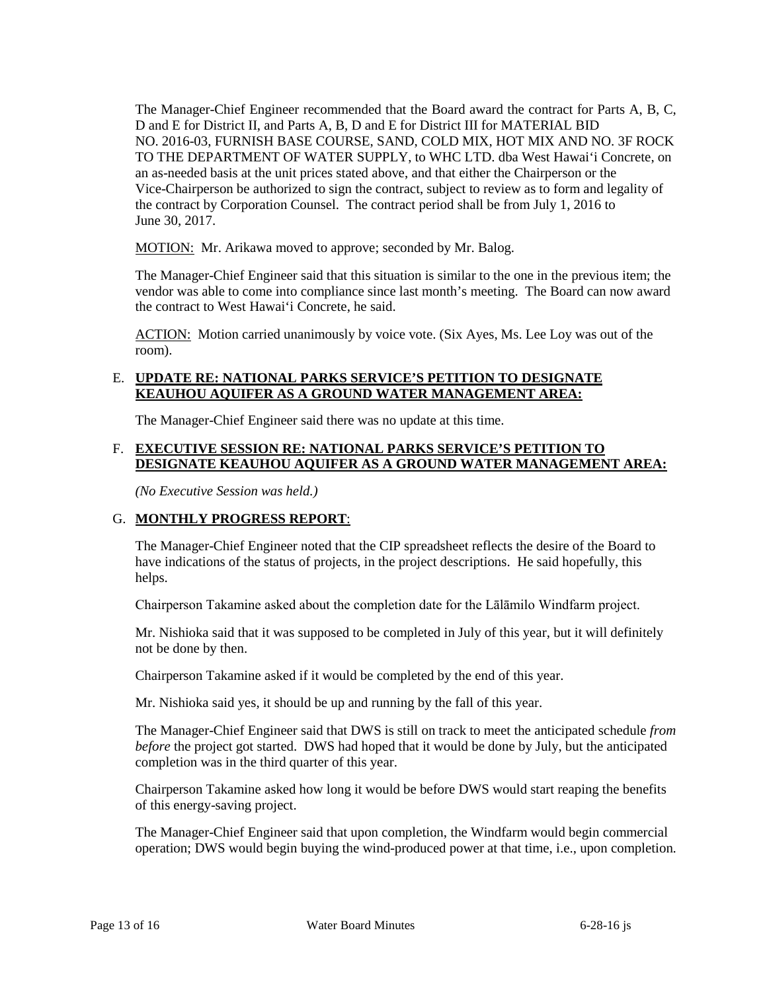Vice-Chairperson be authorized to sign the contract, subject to review as to form and legality of The Manager-Chief Engineer recommended that the Board award the contract for Parts A, B, C, D and E for District II, and Parts A, B, D and E for District III for MATERIAL BID NO. 2016-03, FURNISH BASE COURSE, SAND, COLD MIX, HOT MIX AND NO. 3F ROCK TO THE DEPARTMENT OF WATER SUPPLY, to WHC LTD. dba West Hawai'i Concrete, on an as-needed basis at the unit prices stated above, and that either the Chairperson or the the contract by Corporation Counsel. The contract period shall be from July 1, 2016 to June 30, 2017.

MOTION: Mr. Arikawa moved to approve; seconded by Mr. Balog.

 The Manager-Chief Engineer said that this situation is similar to the one in the previous item; the vendor was able to come into compliance since last month's meeting. The Board can now award the contract to West Hawai'i Concrete, he said.

ACTION: Motion carried unanimously by voice vote. (Six Ayes, Ms. Lee Loy was out of the room).

### E. **UPDATE RE: NATIONAL PARKS SERVICE'S PETITION TO DESIGNATE KEAUHOU AQUIFER AS A GROUND WATER MANAGEMENT AREA:**

The Manager-Chief Engineer said there was no update at this time.

## F. **EXECUTIVE SESSION RE: NATIONAL PARKS SERVICE'S PETITION TO DESIGNATE KEAUHOU AQUIFER AS A GROUND WATER MANAGEMENT AREA:**

*(No Executive Session was held.)* 

## G. **MONTHLY PROGRESS REPORT**:

 The Manager-Chief Engineer noted that the CIP spreadsheet reflects the desire of the Board to have indications of the status of projects, in the project descriptions. He said hopefully, this helps.

Chairperson Takamine asked about the completion date for the Lālāmilo Windfarm project.

 Mr. Nishioka said that it was supposed to be completed in July of this year, but it will definitely not be done by then.

Chairperson Takamine asked if it would be completed by the end of this year.

Mr. Nishioka said yes, it should be up and running by the fall of this year.

 The Manager-Chief Engineer said that DWS is still on track to meet the anticipated schedule *from before* the project got started. DWS had hoped that it would be done by July, but the anticipated completion was in the third quarter of this year.

Chairperson Takamine asked how long it would be before DWS would start reaping the benefits of this energy-saving project.

 operation; DWS would begin buying the wind-produced power at that time, i.e., upon completion. The Manager-Chief Engineer said that upon completion, the Windfarm would begin commercial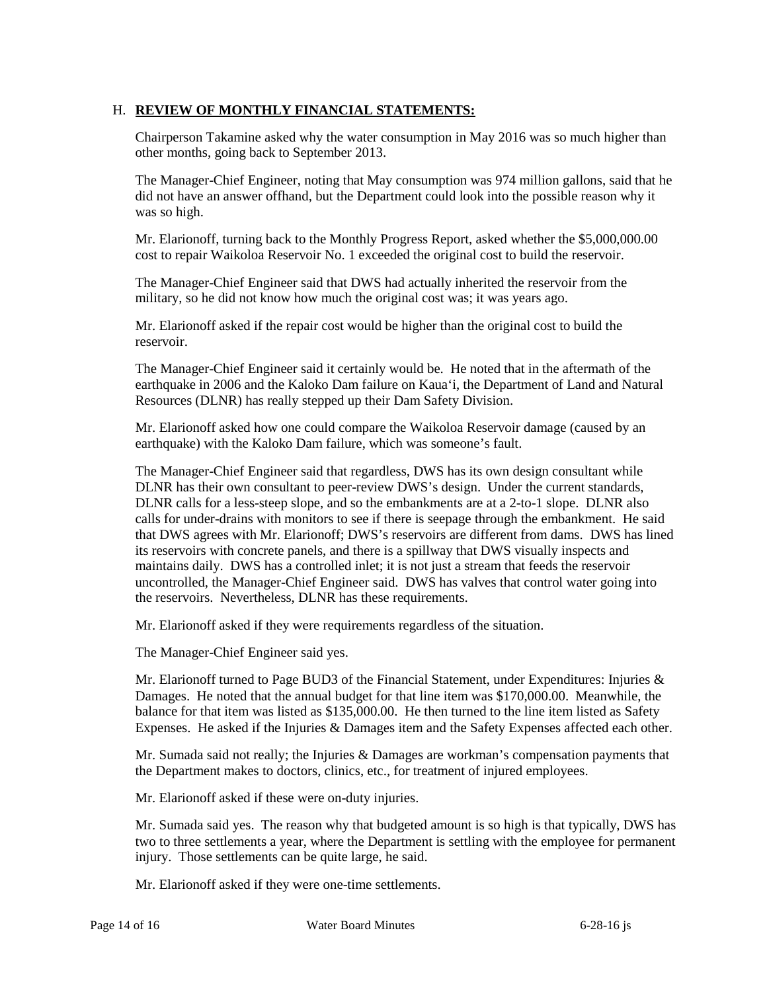## H. **REVIEW OF MONTHLY FINANCIAL STATEMENTS:**

Chairperson Takamine asked why the water consumption in May 2016 was so much higher than other months, going back to September 2013.

The Manager-Chief Engineer, noting that May consumption was 974 million gallons, said that he did not have an answer offhand, but the Department could look into the possible reason why it was so high.

Mr. Elarionoff, turning back to the Monthly Progress Report, asked whether the \$5,000,000.00 cost to repair Waikoloa Reservoir No. 1 exceeded the original cost to build the reservoir.

 military, so he did not know how much the original cost was; it was years ago. The Manager-Chief Engineer said that DWS had actually inherited the reservoir from the

 Mr. Elarionoff asked if the repair cost would be higher than the original cost to build the reservoir.

 The Manager-Chief Engineer said it certainly would be. He noted that in the aftermath of the earthquake in 2006 and the Kaloko Dam failure on Kaua'i, the Department of Land and Natural Resources (DLNR) has really stepped up their Dam Safety Division.

Mr. Elarionoff asked how one could compare the Waikoloa Reservoir damage (caused by an earthquake) with the Kaloko Dam failure, which was someone's fault.

 The Manager-Chief Engineer said that regardless, DWS has its own design consultant while DLNR has their own consultant to peer-review DWS's design. Under the current standards, DLNR calls for a less-steep slope, and so the embankments are at a 2-to-1 slope. DLNR also that DWS agrees with Mr. Elarionoff; DWS's reservoirs are different from dams. DWS has lined maintains daily. DWS has a controlled inlet; it is not just a stream that feeds the reservoir calls for under-drains with monitors to see if there is seepage through the embankment. He said its reservoirs with concrete panels, and there is a spillway that DWS visually inspects and uncontrolled, the Manager-Chief Engineer said. DWS has valves that control water going into the reservoirs. Nevertheless, DLNR has these requirements.

Mr. Elarionoff asked if they were requirements regardless of the situation.

The Manager-Chief Engineer said yes.

 balance for that item was listed as \$135,000.00. He then turned to the line item listed as Safety Mr. Elarionoff turned to Page BUD3 of the Financial Statement, under Expenditures: Injuries  $\&$ Damages. He noted that the annual budget for that line item was \$170,000.00. Meanwhile, the Expenses. He asked if the Injuries & Damages item and the Safety Expenses affected each other.

Mr. Sumada said not really; the Injuries & Damages are workman's compensation payments that the Department makes to doctors, clinics, etc., for treatment of injured employees.

Mr. Elarionoff asked if these were on-duty injuries.

Mr. Sumada said yes. The reason why that budgeted amount is so high is that typically, DWS has two to three settlements a year, where the Department is settling with the employee for permanent injury. Those settlements can be quite large, he said.

Mr. Elarionoff asked if they were one-time settlements.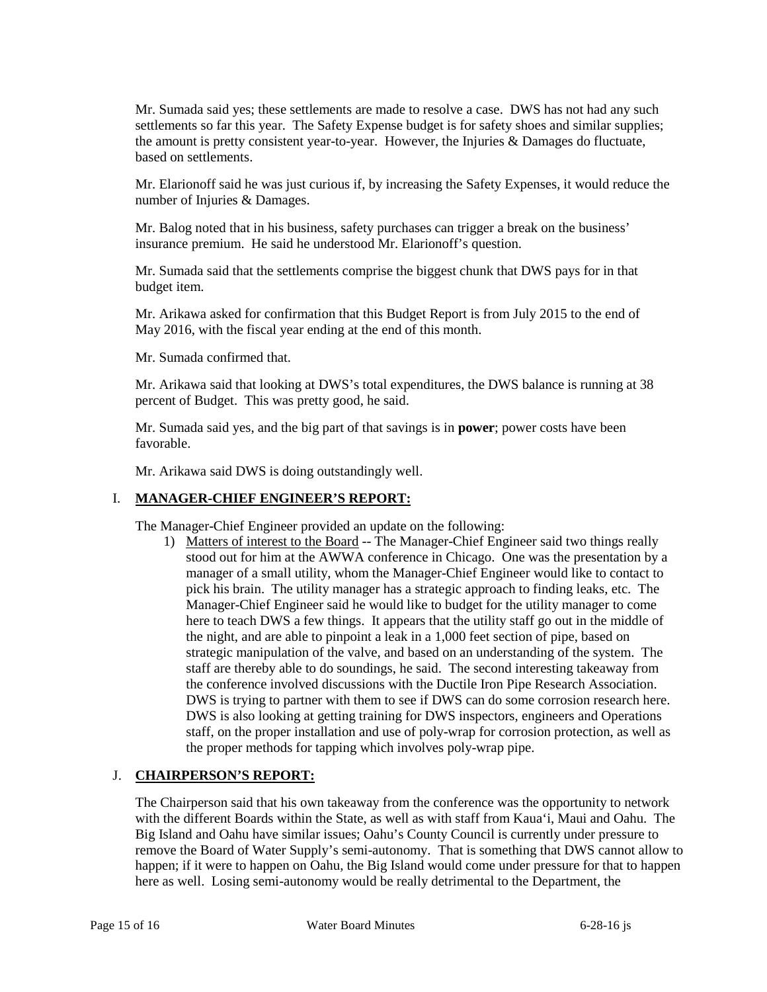the amount is pretty consistent year-to-year. However, the Injuries & Damages do fluctuate, Mr. Sumada said yes; these settlements are made to resolve a case. DWS has not had any such settlements so far this year. The Safety Expense budget is for safety shoes and similar supplies; based on settlements.

 Mr. Elarionoff said he was just curious if, by increasing the Safety Expenses, it would reduce the number of Injuries & Damages.

Mr. Balog noted that in his business, safety purchases can trigger a break on the business' insurance premium. He said he understood Mr. Elarionoff's question.

 Mr. Sumada said that the settlements comprise the biggest chunk that DWS pays for in that budget item.

Mr. Arikawa asked for confirmation that this Budget Report is from July 2015 to the end of May 2016, with the fiscal year ending at the end of this month.

Mr. Sumada confirmed that.

Mr. Arikawa said that looking at DWS's total expenditures, the DWS balance is running at 38 percent of Budget. This was pretty good, he said.

 Mr. Sumada said yes, and the big part of that savings is in **power**; power costs have been favorable.

Mr. Arikawa said DWS is doing outstandingly well.

### I. **MANAGER-CHIEF ENGINEER'S REPORT:**

The Manager-Chief Engineer provided an update on the following:

1) Matters of interest to the Board -- The Manager-Chief Engineer said two things really manager of a small utility, whom the Manager-Chief Engineer would like to contact to pick his brain. The utility manager has a strategic approach to finding leaks, etc. The strategic manipulation of the valve, and based on an understanding of the system. The staff are thereby able to do soundings, he said. The second interesting takeaway from DWS is trying to partner with them to see if DWS can do some corrosion research here. staff, on the proper installation and use of poly-wrap for corrosion protection, as well as the proper methods for tapping which involves poly-wrap pipe. stood out for him at the AWWA conference in Chicago. One was the presentation by a Manager-Chief Engineer said he would like to budget for the utility manager to come here to teach DWS a few things. It appears that the utility staff go out in the middle of the night, and are able to pinpoint a leak in a 1,000 feet section of pipe, based on the conference involved discussions with the Ductile Iron Pipe Research Association. DWS is also looking at getting training for DWS inspectors, engineers and Operations

### J. **CHAIRPERSON'S REPORT:**

 with the different Boards within the State, as well as with staff from Kaua'i, Maui and Oahu. The The Chairperson said that his own takeaway from the conference was the opportunity to network Big Island and Oahu have similar issues; Oahu's County Council is currently under pressure to remove the Board of Water Supply's semi-autonomy. That is something that DWS cannot allow to happen; if it were to happen on Oahu, the Big Island would come under pressure for that to happen here as well. Losing semi-autonomy would be really detrimental to the Department, the